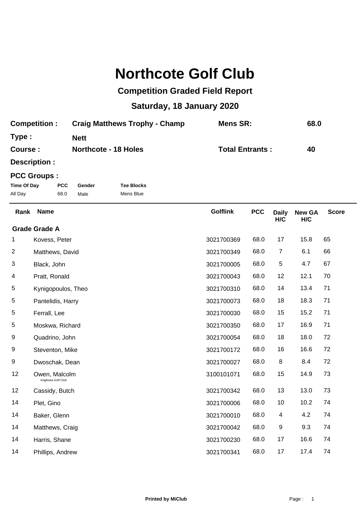## **Northcote Golf Club**

## **Competition Graded Field Report**

## **Saturday, 18 January 2020**

| <b>Competition:</b> | <b>Craig Matthews Trophy - Champ</b> | Mens SR:               | 68.0 |
|---------------------|--------------------------------------|------------------------|------|
| Type:               | <b>Nett</b>                          |                        |      |
| Course:             | <b>Northcote - 18 Holes</b>          | <b>Total Entrants:</b> | 40   |

**Description :**

## **PCC Groups :**

| Time Of Day | <b>PCC</b> | Gender | <b>Tee Blocks</b> |
|-------------|------------|--------|-------------------|
| All Day     | 68.0       | Male   | Mens Blue         |

| Rank | <b>Name</b>                         | <b>Golflink</b> | <b>PCC</b> | <b>Daily</b><br>H/C | <b>New GA</b><br>H/C | <b>Score</b> |
|------|-------------------------------------|-----------------|------------|---------------------|----------------------|--------------|
|      | <b>Grade Grade A</b>                |                 |            |                     |                      |              |
| 1    | Kovess, Peter                       | 3021700369      | 68.0       | 17                  | 15.8                 | 65           |
| 2    | Matthews, David                     | 3021700349      | 68.0       | $\overline{7}$      | 6.1                  | 66           |
| 3    | Black, John                         | 3021700005      | 68.0       | 5                   | 4.7                  | 67           |
| 4    | Pratt, Ronald                       | 3021700043      | 68.0       | 12                  | 12.1                 | 70           |
| 5    | Kynigopoulos, Theo                  | 3021700310      | 68.0       | 14                  | 13.4                 | 71           |
| 5    | Pantelidis, Harry                   | 3021700073      | 68.0       | 18                  | 18.3                 | 71           |
| 5    | Ferrall, Lee                        | 3021700030      | 68.0       | 15                  | 15.2                 | 71           |
| 5    | Moskwa, Richard                     | 3021700350      | 68.0       | 17                  | 16.9                 | 71           |
| 9    | Quadrino, John                      | 3021700054      | 68.0       | 18                  | 18.0                 | 72           |
| 9    | Steventon, Mike                     | 3021700172      | 68.0       | 16                  | 16.6                 | 72           |
| 9    | Dwoschak, Dean                      | 3021700027      | 68.0       | 8                   | 8.4                  | 72           |
| 12   | Owen, Malcolm<br>Anglesea Golf Club | 3100101071      | 68.0       | 15                  | 14.9                 | 73           |
| 12   | Cassidy, Butch                      | 3021700342      | 68.0       | 13                  | 13.0                 | 73           |
| 14   | Plet, Gino                          | 3021700006      | 68.0       | 10                  | 10.2                 | 74           |
| 14   | Baker, Glenn                        | 3021700010      | 68.0       | 4                   | 4.2                  | 74           |
| 14   | Matthews, Craig                     | 3021700042      | 68.0       | 9                   | 9.3                  | 74           |
| 14   | Harris, Shane                       | 3021700230      | 68.0       | 17                  | 16.6                 | 74           |
| 14   | Phillips, Andrew                    | 3021700341      | 68.0       | 17                  | 17.4                 | 74           |